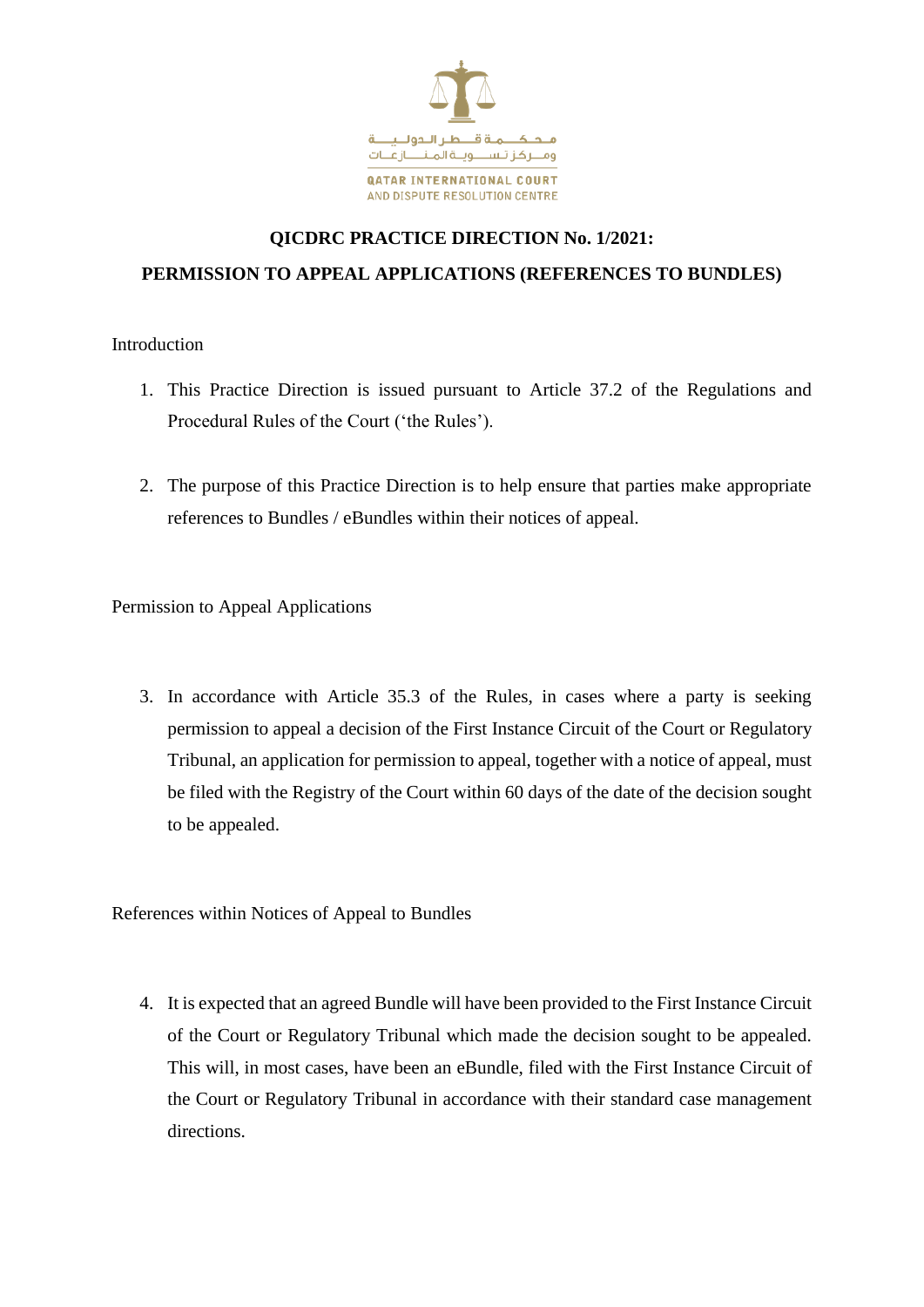

## **QICDRC PRACTICE DIRECTION No. 1/2021: PERMISSION TO APPEAL APPLICATIONS (REFERENCES TO BUNDLES)**

Introduction

- 1. This Practice Direction is issued pursuant to Article 37.2 of the Regulations and Procedural Rules of the Court ('the Rules').
- 2. The purpose of this Practice Direction is to help ensure that parties make appropriate references to Bundles / eBundles within their notices of appeal.

Permission to Appeal Applications

3. In accordance with Article 35.3 of the Rules, in cases where a party is seeking permission to appeal a decision of the First Instance Circuit of the Court or Regulatory Tribunal, an application for permission to appeal, together with a notice of appeal, must be filed with the Registry of the Court within 60 days of the date of the decision sought to be appealed.

References within Notices of Appeal to Bundles

4. It is expected that an agreed Bundle will have been provided to the First Instance Circuit of the Court or Regulatory Tribunal which made the decision sought to be appealed. This will, in most cases, have been an eBundle, filed with the First Instance Circuit of the Court or Regulatory Tribunal in accordance with their standard case management directions.